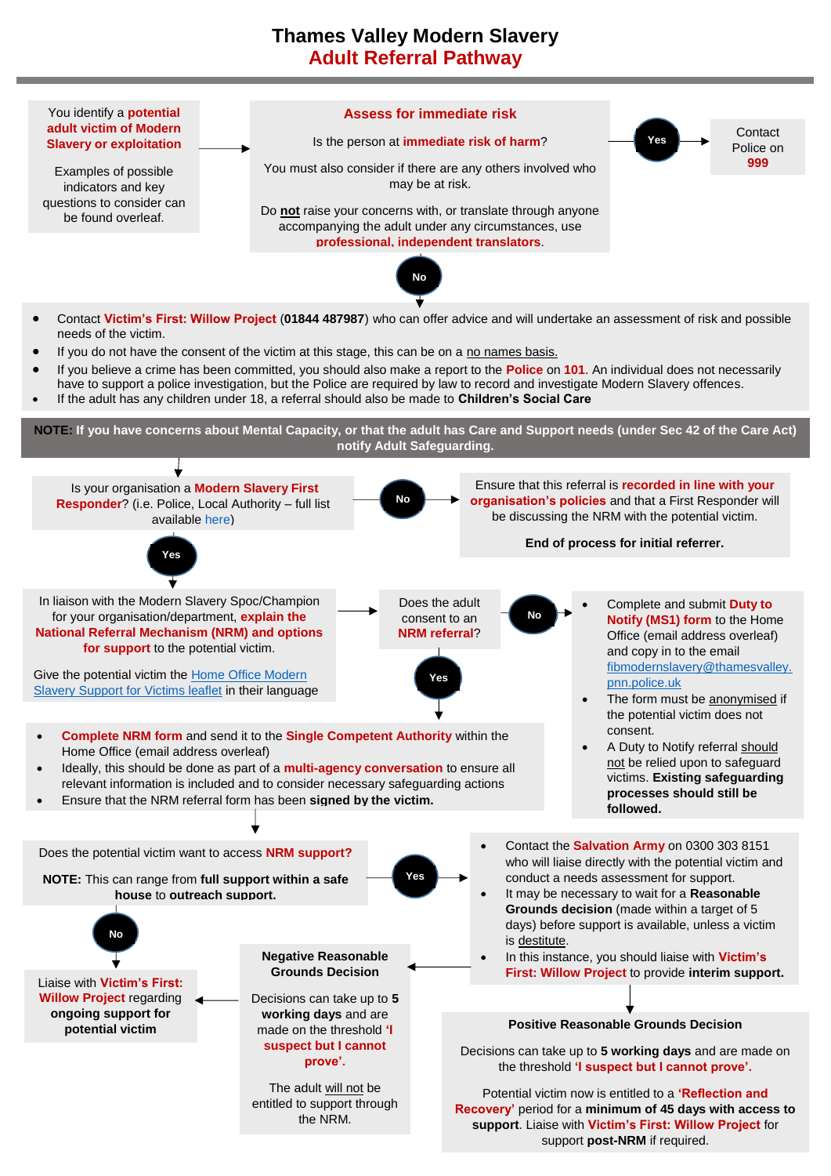## **Thames Valley Modern Slavery Adult Referral Pathway**